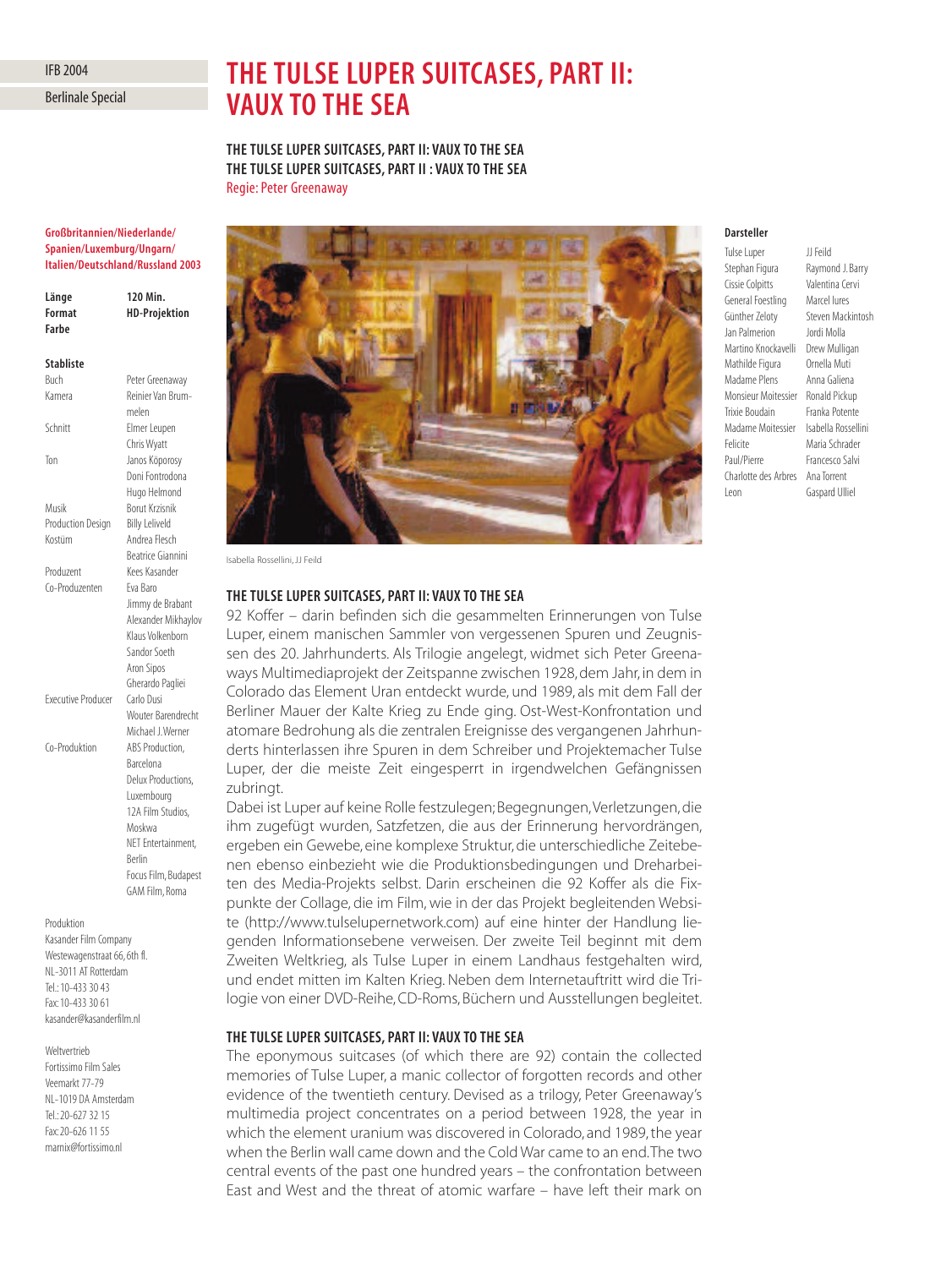# IFB 2004

Berlinale Special

# **THE TULSE LUPER SUITCASES, PART II: VAUX TO THE SEA**

**THE TULSE LUPER SUITCASES, PART II: VAUX TO THE SEA THE TULSE LUPER SUITCASES, PART II : VAUX TO THE SEA** Regie: Peter Greenaway

#### **Großbritannien/Niederlande/ Spanien/Luxemburg/Ungarn/ Italien/Deutschland/Russland 2003**

| Länge  | 120 Min.             |
|--------|----------------------|
| Format | <b>HD-Projektion</b> |
| Farbe  |                      |
|        |                      |

#### **Stabliste**

| Buch                      | Peter Greenaway          |
|---------------------------|--------------------------|
| Kamera                    | Reinier Van Brum-        |
|                           | melen                    |
| Schnitt                   | Elmer Leupen             |
|                           | Chris Wyatt              |
| Ton                       | Janos Köporosy           |
|                           | Doni Fontrodona          |
|                           | Hugo Helmond             |
| Musik                     | <b>Borut Krzisnik</b>    |
| <b>Production Design</b>  | <b>Billy Leliveld</b>    |
| Kostüm                    | Andrea Flesch            |
|                           | <b>Beatrice Giannini</b> |
| Produzent                 | Kees Kasander            |
| Co-Produzenten            | Fva Baro                 |
|                           | Jimmy de Brabant         |
|                           | Alexander Mikhaylov      |
|                           | Klaus Volkenborn         |
|                           | Sandor Soeth             |
|                           | Aron Sipos               |
|                           | Gherardo Pagliei         |
| <b>Executive Producer</b> | Carlo Dusi               |
|                           | Wouter Barendrecht       |
|                           | Michael J. Werner        |
| Co-Produktion             | ABS Production,          |
|                           | Barcelona                |
|                           | Delux Productions,       |
|                           | Luxembourg               |
|                           | 12A Film Studios.        |
|                           | Moskwa                   |
|                           | NET Entertainment,       |
|                           | Rerlin                   |
|                           | Focus Film, Budapest     |

#### Produktion

Kasander Film Company Westewagenstraat 66, 6th fl. NL-3011 AT Rotterdam Tel.: 10-433 30 43 Fax: 10-433 30 61 kasander@kasanderfilm.nl

GAM Film, Roma

Weltvertrieb

Fortissimo Film Sales Veemarkt 77-79 NL-1019 DA Amsterdam Tel.: 20-627 32 15 Fax: 20-626 11 55 marnix@fortissimo.nl



Isabella Rossellini, JJ Feild

### **THE TULSE LUPER SUITCASES, PART II: VAUX TO THE SEA**

92 Koffer – darin befinden sich die gesammelten Erinnerungen von Tulse Luper, einem manischen Sammler von vergessenen Spuren und Zeugnissen des 20. Jahrhunderts. Als Trilogie angelegt, widmet sich Peter Greenaways Multimediaprojekt der Zeitspanne zwischen 1928, dem Jahr, in dem in Colorado das Element Uran entdeckt wurde, und 1989, als mit dem Fall der Berliner Mauer der Kalte Krieg zu Ende ging. Ost-West-Konfrontation und atomare Bedrohung als die zentralen Ereignisse des vergangenen Jahrhunderts hinterlassen ihre Spuren in dem Schreiber und Projektemacher Tulse Luper, der die meiste Zeit eingesperrt in irgendwelchen Gefängnissen zubringt.

Dabei ist Luper auf keine Rolle festzulegen; Begegnungen, Verletzungen, die ihm zugefügt wurden, Satzfetzen, die aus der Erinnerung hervordrängen, ergeben ein Gewebe, eine komplexe Struktur, die unterschiedliche Zeitebenen ebenso einbezieht wie die Produktionsbedingungen und Dreharbeiten des Media-Projekts selbst. Darin erscheinen die 92 Koffer als die Fixpunkte der Collage, die im Film, wie in der das Projekt begleitenden Website (http://www.tulselupernetwork.com) auf eine hinter der Handlung liegenden Informationsebene verweisen. Der zweite Teil beginnt mit dem Zweiten Weltkrieg, als Tulse Luper in einem Landhaus festgehalten wird, und endet mitten im Kalten Krieg. Neben dem Internetauftritt wird die Trilogie von einer DVD-Reihe, CD-Roms, Büchern und Ausstellungen begleitet.

# **THE TULSE LUPER SUITCASES, PART II: VAUX TO THE SEA**

The eponymous suitcases (of which there are 92) contain the collected memories of Tulse Luper, a manic collector of forgotten records and other evidence of the twentieth century. Devised as a trilogy, Peter Greenaway's multimedia project concentrates on a period between 1928, the year in which the element uranium was discovered in Colorado, and 1989, the year when the Berlin wall came down and the Cold War came to an end.The two central events of the past one hundred years – the confrontation between East and West and the threat of atomic warfare – have left their mark on

# **Darsteller**

Tulse Luper JJ Feild Stephan Figura Raymond J. Barry Cissie Colpitts Valentina Cervi General Foestling Marcel Iures Günther Zeloty Steven Mackintosh Jan Palmerion Jordi Molla Martino Knockavelli Drew Mulligan Mathilde Figura Ornella Muti Madame Plens Anna Galiena Monsieur Moitessier Ronald Pickup Trixie Boudain Franka Potente Madame Moitessier Isabella Rossellini Felicite Maria Schrader Paul/Pierre Francesco Salvi Charlotte des Arbres Ana Torrent Leon Gaspard Ulliel